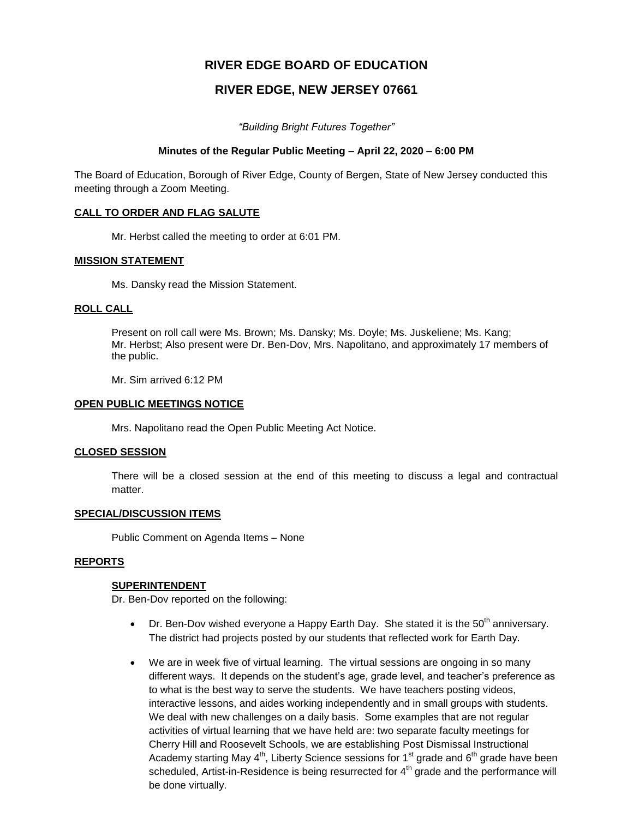# **RIVER EDGE BOARD OF EDUCATION**

## **RIVER EDGE, NEW JERSEY 07661**

*"Building Bright Futures Together"*

#### **Minutes of the Regular Public Meeting – April 22, 2020 – 6:00 PM**

The Board of Education, Borough of River Edge, County of Bergen, State of New Jersey conducted this meeting through a Zoom Meeting.

#### **CALL TO ORDER AND FLAG SALUTE**

Mr. Herbst called the meeting to order at 6:01 PM.

#### **MISSION STATEMENT**

Ms. Dansky read the Mission Statement.

#### **ROLL CALL**

Present on roll call were Ms. Brown; Ms. Dansky; Ms. Doyle; Ms. Juskeliene; Ms. Kang; Mr. Herbst; Also present were Dr. Ben-Dov, Mrs. Napolitano, and approximately 17 members of the public.

Mr. Sim arrived 6:12 PM

#### **OPEN PUBLIC MEETINGS NOTICE**

Mrs. Napolitano read the Open Public Meeting Act Notice.

#### **CLOSED SESSION**

There will be a closed session at the end of this meeting to discuss a legal and contractual matter.

#### **SPECIAL/DISCUSSION ITEMS**

Public Comment on Agenda Items – None

#### **REPORTS**

#### **SUPERINTENDENT**

Dr. Ben-Dov reported on the following:

- $\bullet$  Dr. Ben-Dov wished everyone a Happy Earth Day. She stated it is the 50<sup>th</sup> anniversary. The district had projects posted by our students that reflected work for Earth Day.
- We are in week five of virtual learning. The virtual sessions are ongoing in so many different ways. It depends on the student's age, grade level, and teacher's preference as to what is the best way to serve the students. We have teachers posting videos, interactive lessons, and aides working independently and in small groups with students. We deal with new challenges on a daily basis. Some examples that are not regular activities of virtual learning that we have held are: two separate faculty meetings for Cherry Hill and Roosevelt Schools, we are establishing Post Dismissal Instructional Academy starting May  $4<sup>th</sup>$ , Liberty Science sessions for  $1<sup>st</sup>$  grade and  $6<sup>th</sup>$  grade have been scheduled, Artist-in-Residence is being resurrected for  $4<sup>th</sup>$  grade and the performance will be done virtually.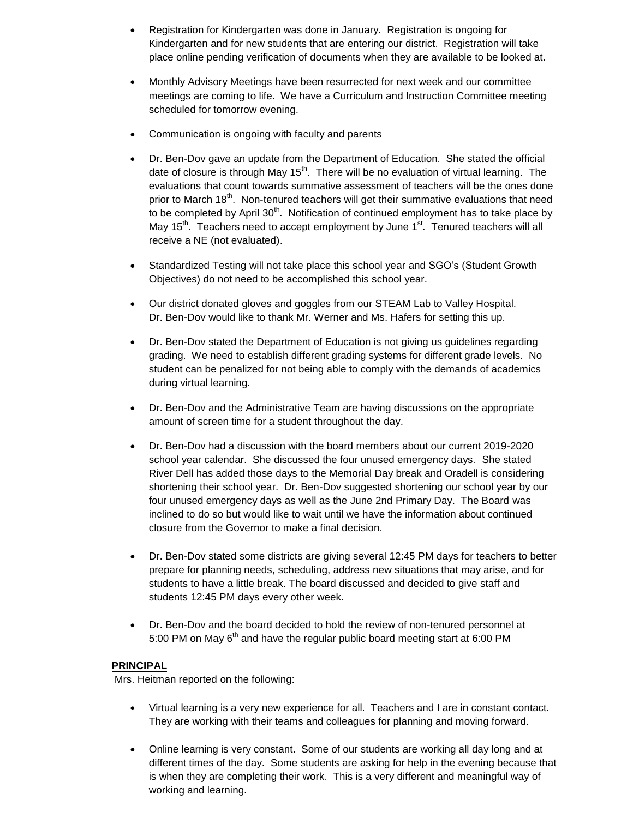- Registration for Kindergarten was done in January. Registration is ongoing for Kindergarten and for new students that are entering our district. Registration will take place online pending verification of documents when they are available to be looked at.
- Monthly Advisory Meetings have been resurrected for next week and our committee meetings are coming to life. We have a Curriculum and Instruction Committee meeting scheduled for tomorrow evening.
- Communication is ongoing with faculty and parents
- Dr. Ben-Dov gave an update from the Department of Education. She stated the official date of closure is through May  $15<sup>th</sup>$ . There will be no evaluation of virtual learning. The evaluations that count towards summative assessment of teachers will be the ones done prior to March 18<sup>th</sup>. Non-tenured teachers will get their summative evaluations that need to be completed by April  $30<sup>th</sup>$ . Notification of continued employment has to take place by May  $15<sup>th</sup>$ . Teachers need to accept employment by June  $1<sup>st</sup>$ . Tenured teachers will all receive a NE (not evaluated).
- Standardized Testing will not take place this school year and SGO's (Student Growth Objectives) do not need to be accomplished this school year.
- Our district donated gloves and goggles from our STEAM Lab to Valley Hospital. Dr. Ben-Dov would like to thank Mr. Werner and Ms. Hafers for setting this up.
- Dr. Ben-Dov stated the Department of Education is not giving us guidelines regarding grading. We need to establish different grading systems for different grade levels. No student can be penalized for not being able to comply with the demands of academics during virtual learning.
- Dr. Ben-Dov and the Administrative Team are having discussions on the appropriate amount of screen time for a student throughout the day.
- Dr. Ben-Dov had a discussion with the board members about our current 2019-2020 school year calendar. She discussed the four unused emergency days. She stated River Dell has added those days to the Memorial Day break and Oradell is considering shortening their school year. Dr. Ben-Dov suggested shortening our school year by our four unused emergency days as well as the June 2nd Primary Day. The Board was inclined to do so but would like to wait until we have the information about continued closure from the Governor to make a final decision.
- Dr. Ben-Dov stated some districts are giving several 12:45 PM days for teachers to better prepare for planning needs, scheduling, address new situations that may arise, and for students to have a little break. The board discussed and decided to give staff and students 12:45 PM days every other week.
- Dr. Ben-Dov and the board decided to hold the review of non-tenured personnel at 5:00 PM on May 6<sup>th</sup> and have the regular public board meeting start at 6:00 PM

## **PRINCIPAL**

Mrs. Heitman reported on the following:

- Virtual learning is a very new experience for all. Teachers and I are in constant contact. They are working with their teams and colleagues for planning and moving forward.
- Online learning is very constant. Some of our students are working all day long and at different times of the day. Some students are asking for help in the evening because that is when they are completing their work. This is a very different and meaningful way of working and learning.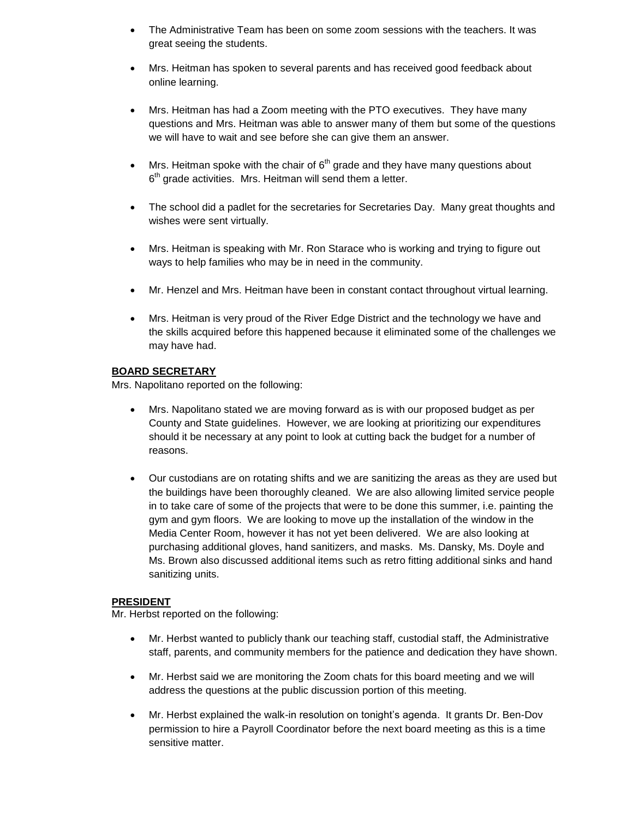- The Administrative Team has been on some zoom sessions with the teachers. It was great seeing the students.
- Mrs. Heitman has spoken to several parents and has received good feedback about online learning.
- Mrs. Heitman has had a Zoom meeting with the PTO executives. They have many questions and Mrs. Heitman was able to answer many of them but some of the questions we will have to wait and see before she can give them an answer.
- Mrs. Heitman spoke with the chair of  $6<sup>th</sup>$  grade and they have many questions about  $6<sup>th</sup>$  grade activities. Mrs. Heitman will send them a letter.
- The school did a padlet for the secretaries for Secretaries Day. Many great thoughts and wishes were sent virtually.
- Mrs. Heitman is speaking with Mr. Ron Starace who is working and trying to figure out ways to help families who may be in need in the community.
- Mr. Henzel and Mrs. Heitman have been in constant contact throughout virtual learning.
- Mrs. Heitman is very proud of the River Edge District and the technology we have and the skills acquired before this happened because it eliminated some of the challenges we may have had.

## **BOARD SECRETARY**

Mrs. Napolitano reported on the following:

- Mrs. Napolitano stated we are moving forward as is with our proposed budget as per County and State guidelines. However, we are looking at prioritizing our expenditures should it be necessary at any point to look at cutting back the budget for a number of reasons.
- Our custodians are on rotating shifts and we are sanitizing the areas as they are used but the buildings have been thoroughly cleaned. We are also allowing limited service people in to take care of some of the projects that were to be done this summer, i.e. painting the gym and gym floors. We are looking to move up the installation of the window in the Media Center Room, however it has not yet been delivered. We are also looking at purchasing additional gloves, hand sanitizers, and masks. Ms. Dansky, Ms. Doyle and Ms. Brown also discussed additional items such as retro fitting additional sinks and hand sanitizing units.

## **PRESIDENT**

Mr. Herbst reported on the following:

- Mr. Herbst wanted to publicly thank our teaching staff, custodial staff, the Administrative staff, parents, and community members for the patience and dedication they have shown.
- Mr. Herbst said we are monitoring the Zoom chats for this board meeting and we will address the questions at the public discussion portion of this meeting.
- Mr. Herbst explained the walk-in resolution on tonight's agenda. It grants Dr. Ben-Dov permission to hire a Payroll Coordinator before the next board meeting as this is a time sensitive matter.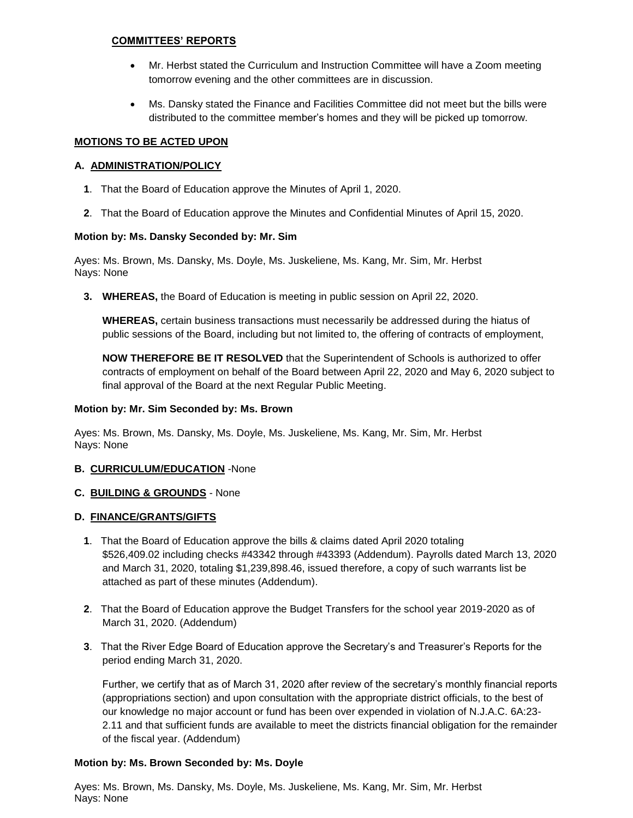## **COMMITTEES' REPORTS**

- Mr. Herbst stated the Curriculum and Instruction Committee will have a Zoom meeting tomorrow evening and the other committees are in discussion.
- Ms. Dansky stated the Finance and Facilities Committee did not meet but the bills were distributed to the committee member's homes and they will be picked up tomorrow.

## **MOTIONS TO BE ACTED UPON**

## **A. ADMINISTRATION/POLICY**

- **1**. That the Board of Education approve the Minutes of April 1, 2020.
- **2**. That the Board of Education approve the Minutes and Confidential Minutes of April 15, 2020.

## **Motion by: Ms. Dansky Seconded by: Mr. Sim**

Ayes: Ms. Brown, Ms. Dansky, Ms. Doyle, Ms. Juskeliene, Ms. Kang, Mr. Sim, Mr. Herbst Nays: None

**3. WHEREAS,** the Board of Education is meeting in public session on April 22, 2020.

**WHEREAS,** certain business transactions must necessarily be addressed during the hiatus of public sessions of the Board, including but not limited to, the offering of contracts of employment,

**NOW THEREFORE BE IT RESOLVED** that the Superintendent of Schools is authorized to offer contracts of employment on behalf of the Board between April 22, 2020 and May 6, 2020 subject to final approval of the Board at the next Regular Public Meeting.

## **Motion by: Mr. Sim Seconded by: Ms. Brown**

Ayes: Ms. Brown, Ms. Dansky, Ms. Doyle, Ms. Juskeliene, Ms. Kang, Mr. Sim, Mr. Herbst Nays: None

## **B. CURRICULUM/EDUCATION** -None

## **C. BUILDING & GROUNDS** - None

## **D. FINANCE/GRANTS/GIFTS**

- **1**. That the Board of Education approve the bills & claims dated April 2020 totaling \$526,409.02 including checks #43342 through #43393 (Addendum). Payrolls dated March 13, 2020 and March 31, 2020, totaling \$1,239,898.46, issued therefore, a copy of such warrants list be attached as part of these minutes (Addendum).
- **2**. That the Board of Education approve the Budget Transfers for the school year 2019-2020 as of March 31, 2020. (Addendum)
- **3**. That the River Edge Board of Education approve the Secretary's and Treasurer's Reports for the period ending March 31, 2020.

Further, we certify that as of March 31, 2020 after review of the secretary's monthly financial reports (appropriations section) and upon consultation with the appropriate district officials, to the best of our knowledge no major account or fund has been over expended in violation of N.J.A.C. 6A:23- 2.11 and that sufficient funds are available to meet the districts financial obligation for the remainder of the fiscal year. (Addendum)

## **Motion by: Ms. Brown Seconded by: Ms. Doyle**

Ayes: Ms. Brown, Ms. Dansky, Ms. Doyle, Ms. Juskeliene, Ms. Kang, Mr. Sim, Mr. Herbst Nays: None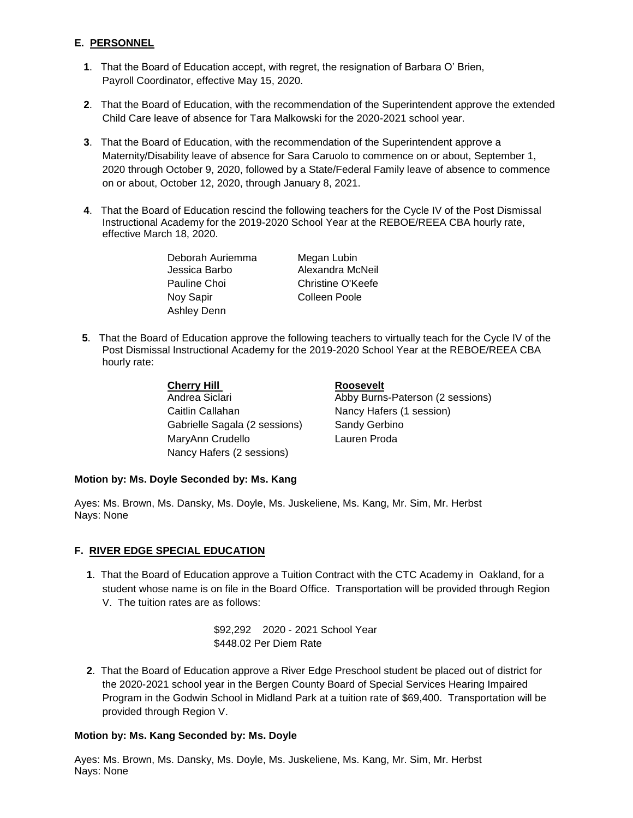## **E. PERSONNEL**

- **1**. That the Board of Education accept, with regret, the resignation of Barbara O' Brien, Payroll Coordinator, effective May 15, 2020.
- **2**. That the Board of Education, with the recommendation of the Superintendent approve the extended Child Care leave of absence for Tara Malkowski for the 2020-2021 school year.
- **3**. That the Board of Education, with the recommendation of the Superintendent approve a Maternity/Disability leave of absence for Sara Caruolo to commence on or about, September 1, 2020 through October 9, 2020, followed by a State/Federal Family leave of absence to commence on or about, October 12, 2020, through January 8, 2021.
- **4**. That the Board of Education rescind the following teachers for the Cycle IV of the Post Dismissal Instructional Academy for the 2019-2020 School Year at the REBOE/REEA CBA hourly rate, effective March 18, 2020.

 Deborah Auriemma Megan Lubin Nov Sapir **Colleen Poole** Ashley Denn

Jessica Barbo Alexandra McNeil Pauline Choi Christine O'Keefe

**5**. That the Board of Education approve the following teachers to virtually teach for the Cycle IV of the Post Dismissal Instructional Academy for the 2019-2020 School Year at the REBOE/REEA CBA hourly rate:

#### **Cherry Hill Cherry Hill Roosevelt**

Caitlin Callahan Nancy Hafers (1 session) Gabrielle Sagala (2 sessions) Sandy Gerbino MaryAnn Crudello Lauren Proda Nancy Hafers (2 sessions)

Andrea Siclari **Abby Burns-Paterson (2 sessions)** 

## **Motion by: Ms. Doyle Seconded by: Ms. Kang**

Ayes: Ms. Brown, Ms. Dansky, Ms. Doyle, Ms. Juskeliene, Ms. Kang, Mr. Sim, Mr. Herbst Nays: None

## **F. RIVER EDGE SPECIAL EDUCATION**

**1**. That the Board of Education approve a Tuition Contract with the CTC Academy in Oakland, for a student whose name is on file in the Board Office. Transportation will be provided through Region V. The tuition rates are as follows:

> \$92,292 2020 - 2021 School Year \$448.02 Per Diem Rate

**2**. That the Board of Education approve a River Edge Preschool student be placed out of district for the 2020-2021 school year in the Bergen County Board of Special Services Hearing Impaired Program in the Godwin School in Midland Park at a tuition rate of \$69,400. Transportation will be provided through Region V.

## **Motion by: Ms. Kang Seconded by: Ms. Doyle**

Ayes: Ms. Brown, Ms. Dansky, Ms. Doyle, Ms. Juskeliene, Ms. Kang, Mr. Sim, Mr. Herbst Nays: None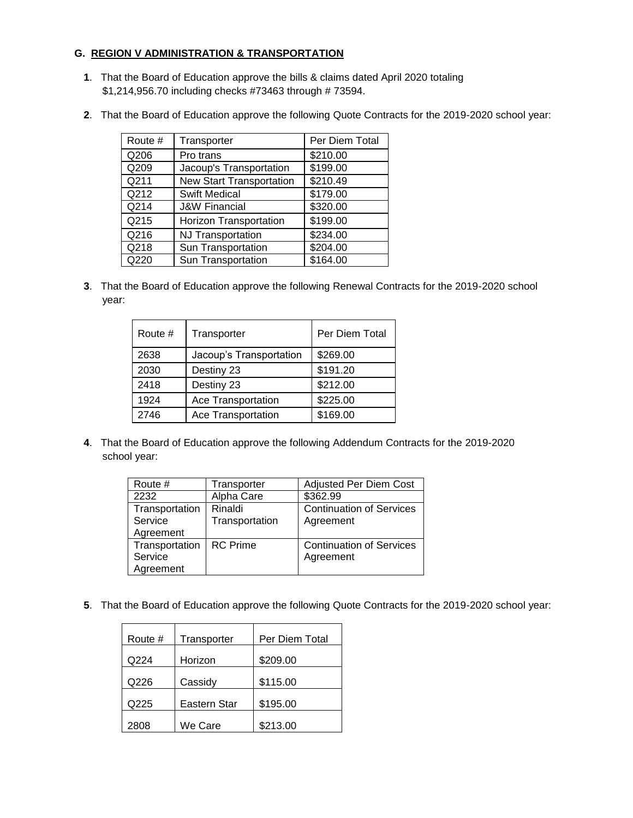## **G. REGION V ADMINISTRATION & TRANSPORTATION**

- **1**. That the Board of Education approve the bills & claims dated April 2020 totaling \$1,214,956.70 including checks #73463 through # 73594.
- **2**. That the Board of Education approve the following Quote Contracts for the 2019-2020 school year:

| Route # | Transporter                     | Per Diem Total       |
|---------|---------------------------------|----------------------|
| Q206    | Pro trans                       | \$210.00             |
| Q209    | Jacoup's Transportation         | \$199.00             |
| Q211    | <b>New Start Transportation</b> | \$210.49             |
| Q212    | <b>Swift Medical</b>            | $\overline{$}179.00$ |
| Q214    | <b>J&amp;W Financial</b>        | \$320.00             |
| Q215    | Horizon Transportation          | \$199.00             |
| Q216    | <b>NJ Transportation</b>        | \$234.00             |
| Q218    | Sun Transportation              | \$204.00             |
| Q220    | Sun Transportation              | \$164.00             |

**3**. That the Board of Education approve the following Renewal Contracts for the 2019-2020 school year:

| Route # | Transporter               | Per Diem Total |
|---------|---------------------------|----------------|
| 2638    | Jacoup's Transportation   | \$269.00       |
| 2030    | Destiny 23                | \$191.20       |
| 2418    | Destiny 23                | \$212.00       |
| 1924    | <b>Ace Transportation</b> | \$225.00       |
| 2746    | <b>Ace Transportation</b> | \$169.00       |

**4**. That the Board of Education approve the following Addendum Contracts for the 2019-2020 school year:

| Route #        | Transporter     | <b>Adjusted Per Diem Cost</b>   |
|----------------|-----------------|---------------------------------|
| 2232           | Alpha Care      | \$362.99                        |
| Transportation | Rinaldi         | <b>Continuation of Services</b> |
| Service        | Transportation  | Agreement                       |
| Agreement      |                 |                                 |
| Transportation | <b>RC</b> Prime | <b>Continuation of Services</b> |
| Service        |                 | Agreement                       |
| Agreement      |                 |                                 |

**5**. That the Board of Education approve the following Quote Contracts for the 2019-2020 school year:

| Per Diem Total |
|----------------|
|                |
|                |
|                |
|                |
|                |
|                |
|                |
|                |
|                |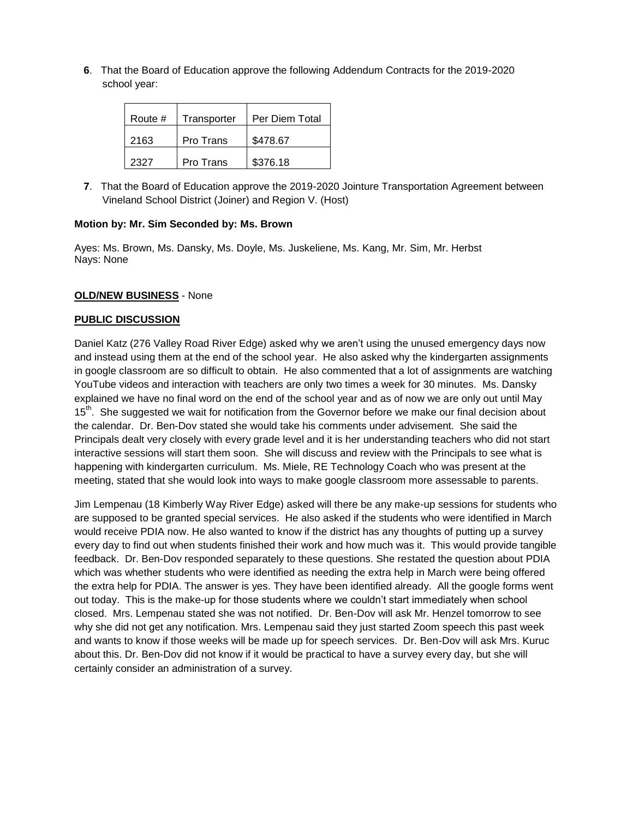**6**. That the Board of Education approve the following Addendum Contracts for the 2019-2020 school year:

| Route # | Transporter | Per Diem Total |
|---------|-------------|----------------|
| 2163    | Pro Trans   | \$478.67       |
| 2327    | Pro Trans   | \$376.18       |

**7**. That the Board of Education approve the 2019-2020 Jointure Transportation Agreement between Vineland School District (Joiner) and Region V. (Host)

#### **Motion by: Mr. Sim Seconded by: Ms. Brown**

Ayes: Ms. Brown, Ms. Dansky, Ms. Doyle, Ms. Juskeliene, Ms. Kang, Mr. Sim, Mr. Herbst Nays: None

#### **OLD/NEW BUSINESS** - None

#### **PUBLIC DISCUSSION**

Daniel Katz (276 Valley Road River Edge) asked why we aren't using the unused emergency days now and instead using them at the end of the school year. He also asked why the kindergarten assignments in google classroom are so difficult to obtain. He also commented that a lot of assignments are watching YouTube videos and interaction with teachers are only two times a week for 30 minutes. Ms. Dansky explained we have no final word on the end of the school year and as of now we are only out until May 15<sup>th</sup>. She suggested we wait for notification from the Governor before we make our final decision about the calendar. Dr. Ben-Dov stated she would take his comments under advisement. She said the Principals dealt very closely with every grade level and it is her understanding teachers who did not start interactive sessions will start them soon. She will discuss and review with the Principals to see what is happening with kindergarten curriculum. Ms. Miele, RE Technology Coach who was present at the meeting, stated that she would look into ways to make google classroom more assessable to parents.

Jim Lempenau (18 Kimberly Way River Edge) asked will there be any make-up sessions for students who are supposed to be granted special services. He also asked if the students who were identified in March would receive PDIA now. He also wanted to know if the district has any thoughts of putting up a survey every day to find out when students finished their work and how much was it. This would provide tangible feedback. Dr. Ben-Dov responded separately to these questions. She restated the question about PDIA which was whether students who were identified as needing the extra help in March were being offered the extra help for PDIA. The answer is yes. They have been identified already. All the google forms went out today. This is the make-up for those students where we couldn't start immediately when school closed. Mrs. Lempenau stated she was not notified. Dr. Ben-Dov will ask Mr. Henzel tomorrow to see why she did not get any notification. Mrs. Lempenau said they just started Zoom speech this past week and wants to know if those weeks will be made up for speech services. Dr. Ben-Dov will ask Mrs. Kuruc about this. Dr. Ben-Dov did not know if it would be practical to have a survey every day, but she will certainly consider an administration of a survey.